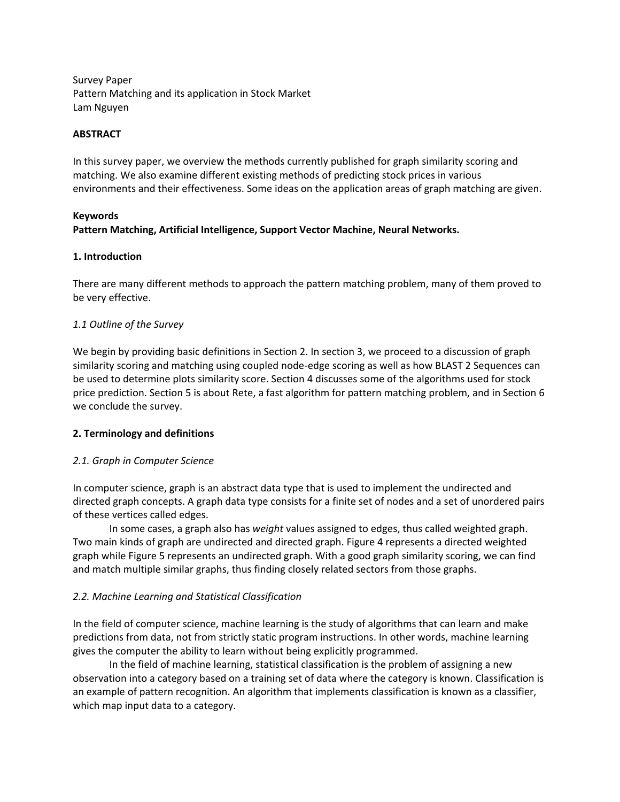Survey Paper Pattern Matching and its application in Stock Market Lam Nguyen

## **ABSTRACT**

In this survey paper, we overview the methods currently published for graph similarity scoring and matching. We also examine different existing methods of predicting stock prices in various environments and their effectiveness. Some ideas on the application areas of graph matching are given.

### **Keywords**

# **Pattern Matching, Artificial Intelligence, Support Vector Machine, Neural Networks.**

# **1. Introduction**

There are many different methods to approach the pattern matching problem, many of them proved to be very effective.

# *1.1 Outline of the Survey*

We begin by providing basic definitions in Section 2. In section 3, we proceed to a discussion of graph similarity scoring and matching using coupled node-edge scoring as well as how BLAST 2 Sequences can be used to determine plots similarity score. Section 4 discusses some of the algorithms used for stock price prediction. Section 5 is about Rete, a fast algorithm for pattern matching problem, and in Section 6 we conclude the survey.

# **2. Terminology and definitions**

# *2.1. Graph in Computer Science*

In computer science, graph is an abstract data type that is used to implement the undirected and directed graph concepts. A graph data type consists for a finite set of nodes and a set of unordered pairs of these vertices called edges.

In some cases, a graph also has *weight* values assigned to edges, thus called weighted graph. Two main kinds of graph are undirected and directed graph. Figure 4 represents a directed weighted graph while Figure 5 represents an undirected graph. With a good graph similarity scoring, we can find and match multiple similar graphs, thus finding closely related sectors from those graphs.

# *2.2. Machine Learning and Statistical Classification*

In the field of computer science, machine learning is the study of algorithms that can learn and make predictions from data, not from strictly static program instructions. In other words, machine learning gives the computer the ability to learn without being explicitly programmed.

In the field of machine learning, statistical classification is the problem of assigning a new observation into a category based on a training set of data where the category is known. Classification is an example of pattern recognition. An algorithm that implements classification is known as a classifier, which map input data to a category.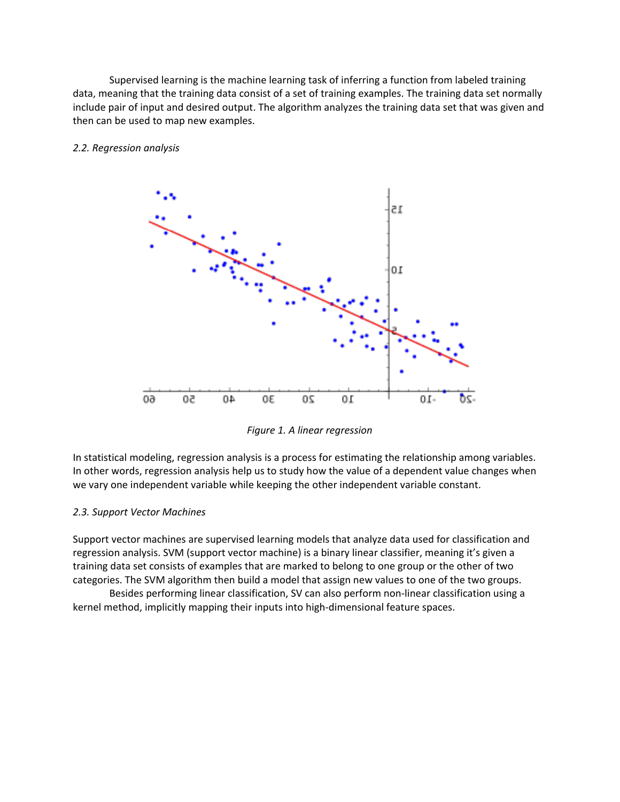Supervised learning is the machine learning task of inferring a function from labeled training data, meaning that the training data consist of a set of training examples. The training data set normally include pair of input and desired output. The algorithm analyzes the training data set that was given and then can be used to map new examples.



## *2.2. Regression analysis*

*Figure 1. A linear regression*

In statistical modeling, regression analysis is a process for estimating the relationship among variables. In other words, regression analysis help us to study how the value of a dependent value changes when we vary one independent variable while keeping the other independent variable constant.

# *2.3. Support Vector Machines*

Support vector machines are supervised learning models that analyze data used for classification and regression analysis. SVM (support vector machine) is a binary linear classifier, meaning it's given a training data set consists of examples that are marked to belong to one group or the other of two categories. The SVM algorithm then build a model that assign new values to one of the two groups.

Besides performing linear classification, SV can also perform non-linear classification using a kernel method, implicitly mapping their inputs into high-dimensional feature spaces.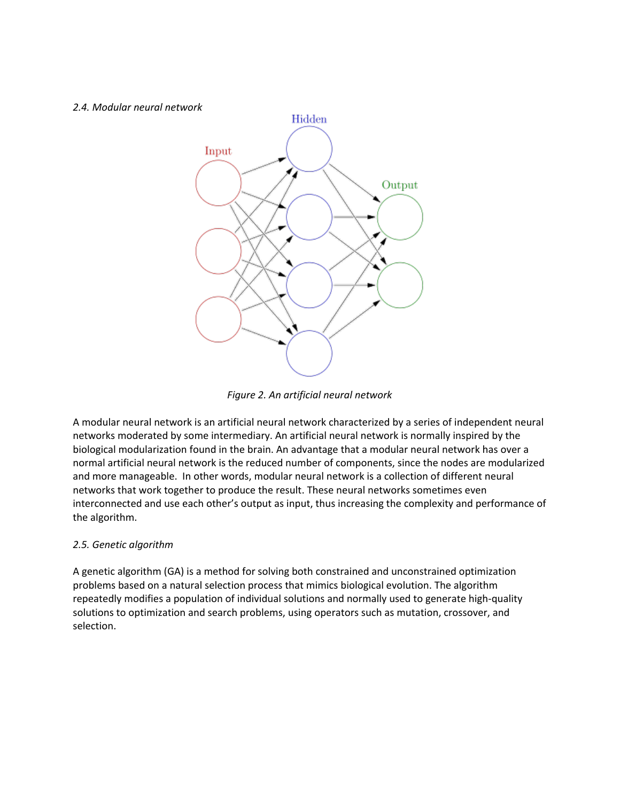#### *2.4. Modular neural network*



*Figure 2. An artificial neural network*

A modular neural network is an artificial neural network characterized by a series of independent neural networks moderated by some intermediary. An artificial neural network is normally inspired by the biological modularization found in the brain. An advantage that a modular neural network has over a normal artificial neural network is the reduced number of components, since the nodes are modularized and more manageable. In other words, modular neural network is a collection of different neural networks that work together to produce the result. These neural networks sometimes even interconnected and use each other's output as input, thus increasing the complexity and performance of the algorithm.

# *2.5. Genetic algorithm*

A genetic algorithm (GA) is a method for solving both constrained and unconstrained optimization problems based on a natural selection process that mimics biological evolution. The algorithm repeatedly modifies a population of individual solutions and normally used to generate high-quality solutions to optimization and search problems, using operators such as mutation, crossover, and selection.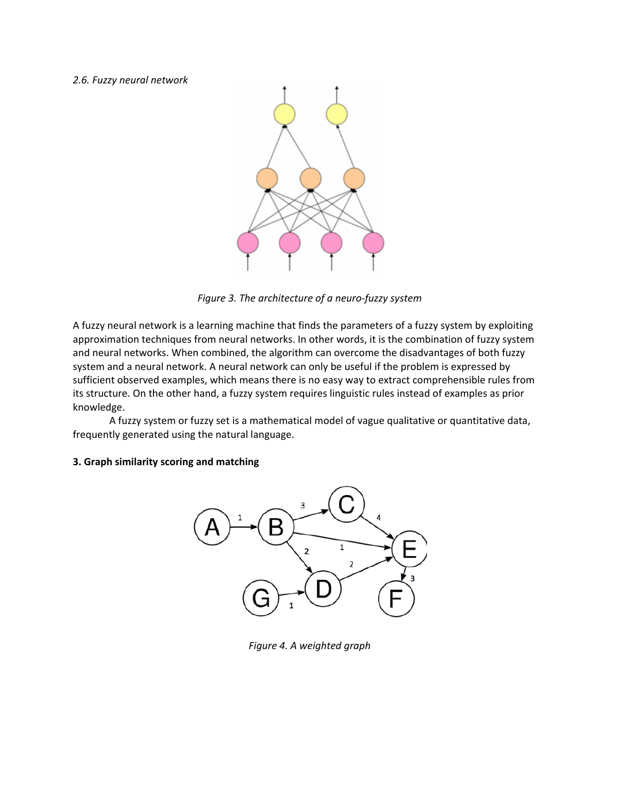#### *2.6. Fuzzy neural network*



*Figure 3. The architecture of a neuro-fuzzy system*

A fuzzy neural network is a learning machine that finds the parameters of a fuzzy system by exploiting approximation techniques from neural networks. In other words, it is the combination of fuzzy system and neural networks. When combined, the algorithm can overcome the disadvantages of both fuzzy system and a neural network. A neural network can only be useful if the problem is expressed by sufficient observed examples, which means there is no easy way to extract comprehensible rules from its structure. On the other hand, a fuzzy system requires linguistic rules instead of examples as prior knowledge.

A fuzzy system or fuzzy set is a mathematical model of vague qualitative or quantitative data, frequently generated using the natural language.

## **3. Graph similarity scoring and matching**



*Figure 4. A weighted graph*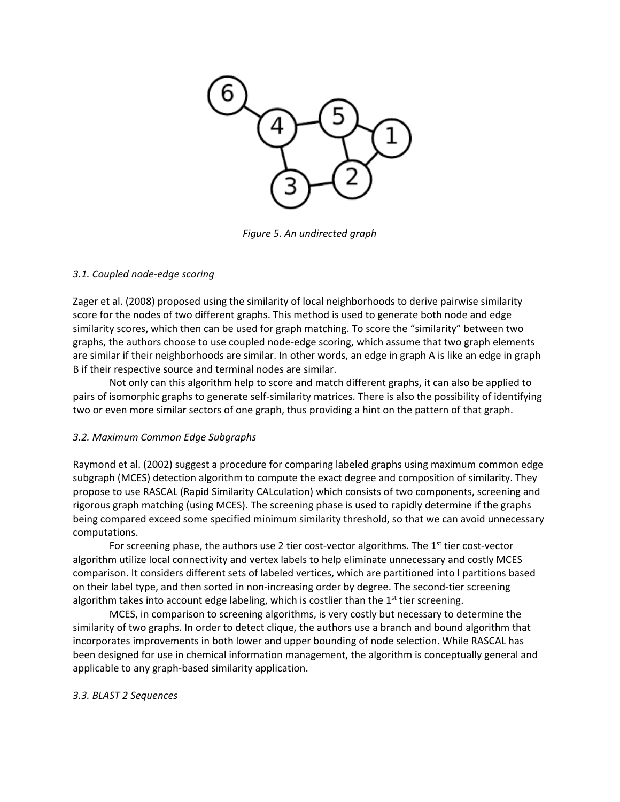

*Figure 5. An undirected graph*

# *3.1. Coupled node-edge scoring*

Zager et al. (2008) proposed using the similarity of local neighborhoods to derive pairwise similarity score for the nodes of two different graphs. This method is used to generate both node and edge similarity scores, which then can be used for graph matching. To score the "similarity" between two graphs, the authors choose to use coupled node-edge scoring, which assume that two graph elements are similar if their neighborhoods are similar. In other words, an edge in graph A is like an edge in graph B if their respective source and terminal nodes are similar.

Not only can this algorithm help to score and match different graphs, it can also be applied to pairs of isomorphic graphs to generate self-similarity matrices. There is also the possibility of identifying two or even more similar sectors of one graph, thus providing a hint on the pattern of that graph.

# *3.2. Maximum Common Edge Subgraphs*

Raymond et al. (2002) suggest a procedure for comparing labeled graphs using maximum common edge subgraph (MCES) detection algorithm to compute the exact degree and composition of similarity. They propose to use RASCAL (Rapid Similarity CALculation) which consists of two components, screening and rigorous graph matching (using MCES). The screening phase is used to rapidly determine if the graphs being compared exceed some specified minimum similarity threshold, so that we can avoid unnecessary computations.

For screening phase, the authors use 2 tier cost-vector algorithms. The  $1<sup>st</sup>$  tier cost-vector algorithm utilize local connectivity and vertex labels to help eliminate unnecessary and costly MCES comparison. It considers different sets of labeled vertices, which are partitioned into l partitions based on their label type, and then sorted in non-increasing order by degree. The second-tier screening algorithm takes into account edge labeling, which is costlier than the  $1<sup>st</sup>$  tier screening.

MCES, in comparison to screening algorithms, is very costly but necessary to determine the similarity of two graphs. In order to detect clique, the authors use a branch and bound algorithm that incorporates improvements in both lower and upper bounding of node selection. While RASCAL has been designed for use in chemical information management, the algorithm is conceptually general and applicable to any graph-based similarity application.

# *3.3. BLAST 2 Sequences*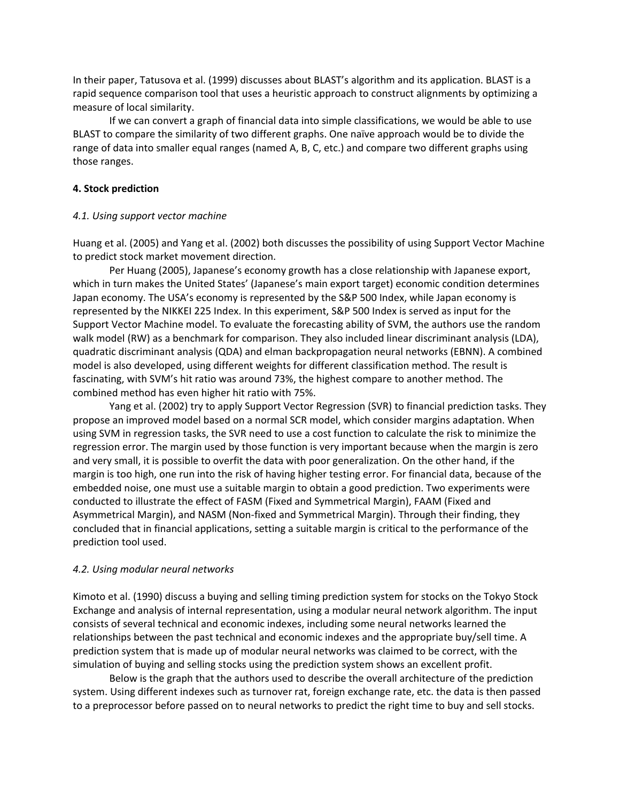In their paper, Tatusova et al. (1999) discusses about BLAST's algorithm and its application. BLAST is a rapid sequence comparison tool that uses a heuristic approach to construct alignments by optimizing a measure of local similarity.

If we can convert a graph of financial data into simple classifications, we would be able to use BLAST to compare the similarity of two different graphs. One naïve approach would be to divide the range of data into smaller equal ranges (named A, B, C, etc.) and compare two different graphs using those ranges.

### **4. Stock prediction**

### *4.1. Using support vector machine*

Huang et al. (2005) and Yang et al. (2002) both discusses the possibility of using Support Vector Machine to predict stock market movement direction.

Per Huang (2005), Japanese's economy growth has a close relationship with Japanese export, which in turn makes the United States' (Japanese's main export target) economic condition determines Japan economy. The USA's economy is represented by the S&P 500 Index, while Japan economy is represented by the NIKKEI 225 Index. In this experiment, S&P 500 Index is served as input for the Support Vector Machine model. To evaluate the forecasting ability of SVM, the authors use the random walk model (RW) as a benchmark for comparison. They also included linear discriminant analysis (LDA), quadratic discriminant analysis (QDA) and elman backpropagation neural networks (EBNN). A combined model is also developed, using different weights for different classification method. The result is fascinating, with SVM's hit ratio was around 73%, the highest compare to another method. The combined method has even higher hit ratio with 75%.

Yang et al. (2002) try to apply Support Vector Regression (SVR) to financial prediction tasks. They propose an improved model based on a normal SCR model, which consider margins adaptation. When using SVM in regression tasks, the SVR need to use a cost function to calculate the risk to minimize the regression error. The margin used by those function is very important because when the margin is zero and very small, it is possible to overfit the data with poor generalization. On the other hand, if the margin is too high, one run into the risk of having higher testing error. For financial data, because of the embedded noise, one must use a suitable margin to obtain a good prediction. Two experiments were conducted to illustrate the effect of FASM (Fixed and Symmetrical Margin), FAAM (Fixed and Asymmetrical Margin), and NASM (Non-fixed and Symmetrical Margin). Through their finding, they concluded that in financial applications, setting a suitable margin is critical to the performance of the prediction tool used.

# *4.2. Using modular neural networks*

Kimoto et al. (1990) discuss a buying and selling timing prediction system for stocks on the Tokyo Stock Exchange and analysis of internal representation, using a modular neural network algorithm. The input consists of several technical and economic indexes, including some neural networks learned the relationships between the past technical and economic indexes and the appropriate buy/sell time. A prediction system that is made up of modular neural networks was claimed to be correct, with the simulation of buying and selling stocks using the prediction system shows an excellent profit.

Below is the graph that the authors used to describe the overall architecture of the prediction system. Using different indexes such as turnover rat, foreign exchange rate, etc. the data is then passed to a preprocessor before passed on to neural networks to predict the right time to buy and sell stocks.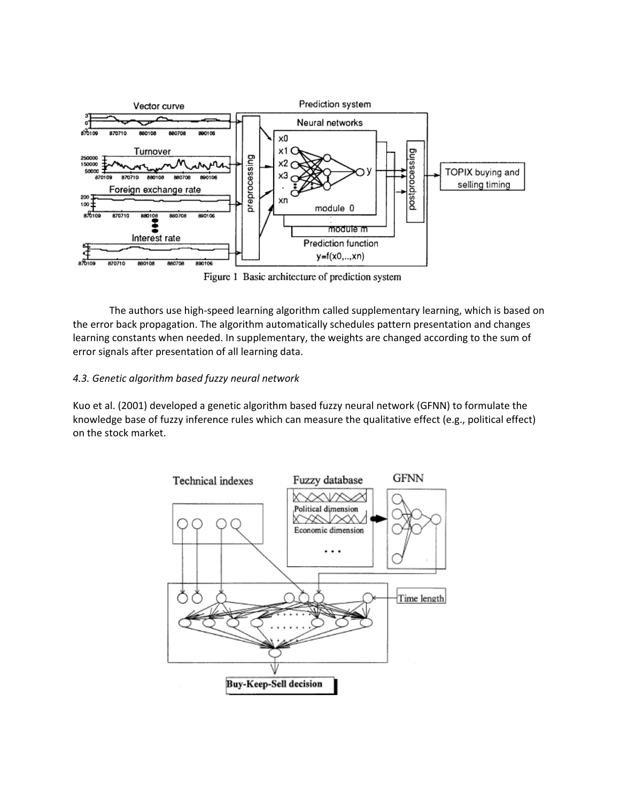

Figure 1 Basic architecture of prediction system

The authors use high-speed learning algorithm called supplementary learning, which is based on the error back propagation. The algorithm automatically schedules pattern presentation and changes learning constants when needed. In supplementary, the weights are changed according to the sum of error signals after presentation of all learning data.

# *4.3. Genetic algorithm based fuzzy neural network*

Kuo et al. (2001) developed a genetic algorithm based fuzzy neural network (GFNN) to formulate the knowledge base of fuzzy inference rules which can measure the qualitative effect (e.g., political effect) on the stock market.

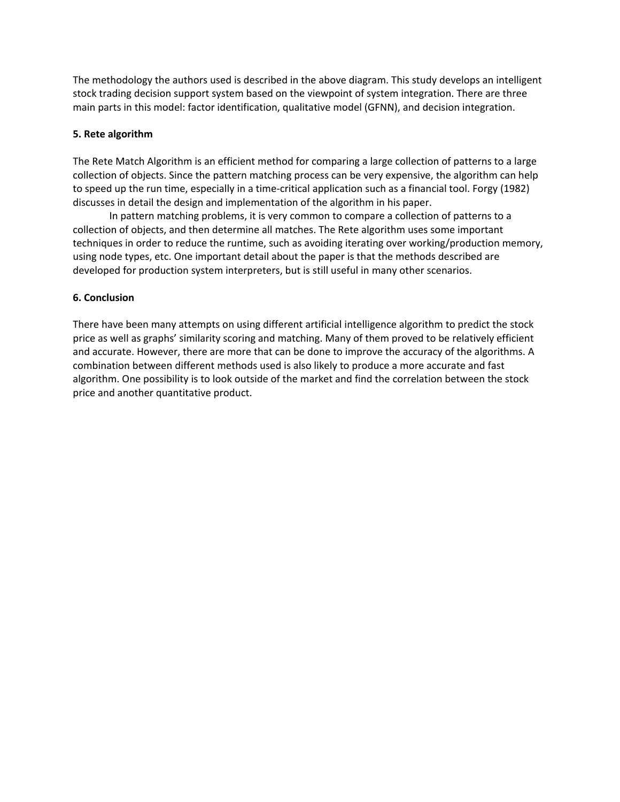The methodology the authors used is described in the above diagram. This study develops an intelligent stock trading decision support system based on the viewpoint of system integration. There are three main parts in this model: factor identification, qualitative model (GFNN), and decision integration.

## **5. Rete algorithm**

The Rete Match Algorithm is an efficient method for comparing a large collection of patterns to a large collection of objects. Since the pattern matching process can be very expensive, the algorithm can help to speed up the run time, especially in a time-critical application such as a financial tool. Forgy (1982) discusses in detail the design and implementation of the algorithm in his paper.

In pattern matching problems, it is very common to compare a collection of patterns to a collection of objects, and then determine all matches. The Rete algorithm uses some important techniques in order to reduce the runtime, such as avoiding iterating over working/production memory, using node types, etc. One important detail about the paper is that the methods described are developed for production system interpreters, but is still useful in many other scenarios.

### **6. Conclusion**

There have been many attempts on using different artificial intelligence algorithm to predict the stock price as well as graphs' similarity scoring and matching. Many of them proved to be relatively efficient and accurate. However, there are more that can be done to improve the accuracy of the algorithms. A combination between different methods used is also likely to produce a more accurate and fast algorithm. One possibility is to look outside of the market and find the correlation between the stock price and another quantitative product.